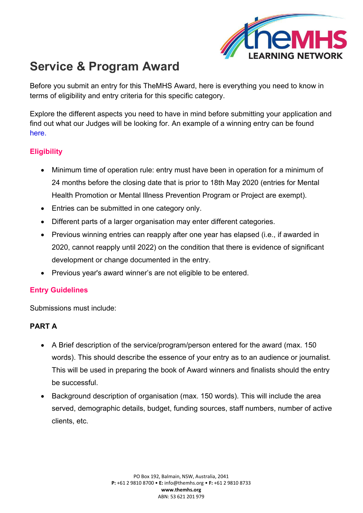

# **Service & Program Award**

Before you submit an entry for this TheMHS Award, here is everything you need to know in terms of eligibility and entry criteria for this specific category.

Explore the different aspects you need to have in mind before submitting your application and find out what our Judges will be looking for. An example of a winning entry can be found [here](https://www.themhs.org/wp-content/uploads/2022/01/SP_MIP_Matilda-Centre-Climate-Schools.pdf).

## **Eligibility**

- Minimum time of operation rule: entry must have been in operation for a minimum of 24 months before the closing date that is prior to 18th May 2020 (entries for Mental Health Promotion or Mental Illness Prevention Program or Project are exempt).
- Entries can be submitted in one category only.
- Different parts of a larger organisation may enter different categories.
- Previous winning entries can reapply after one year has elapsed (i.e., if awarded in 2020, cannot reapply until 2022) on the condition that there is evidence of significant development or change documented in the entry.
- Previous year's award winner's are not eligible to be entered.

#### **Entry Guidelines**

Submissions must include:

## **PART A**

- A Brief description of the service/program/person entered for the award (max. 150 words). This should describe the essence of your entry as to an audience or journalist. This will be used in preparing the book of Award winners and finalists should the entry be successful.
- Background description of organisation (max. 150 words). This will include the area served, demographic details, budget, funding sources, staff numbers, number of active clients, etc.